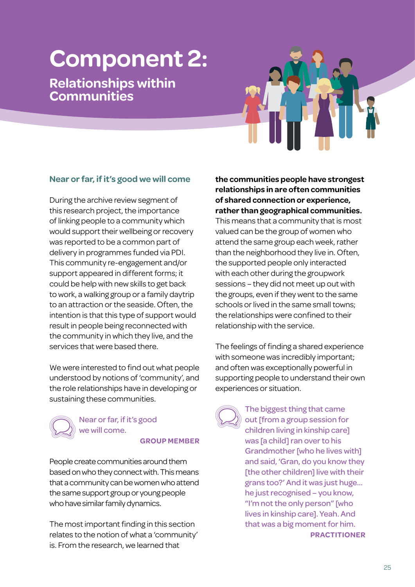# **Component 2:**

# **Relationships within Communities**



### **Near or far, if it's good we will come**

During the archive review segment of this research project, the importance of linking people to a community which would support their wellbeing or recovery was reported to be a common part of delivery in programmes funded via PDI. This community re-engagement and/or support appeared in different forms; it could be help with new skills to get back to work, a walking group or a family daytrip to an attraction or the seaside. Often, the intention is that this type of support would result in people being reconnected with the community in which they live, and the services that were based there.

We were interested to find out what people understood by notions of 'community', and the role relationships have in developing or sustaining these communities.



Near or far, if it's good we will come.

#### **GROUP MEMBER**

People create communities around them based on who they connect with. This means that a community can be women who attend the same support group or young people who have similar family dynamics.

The most important finding in this section relates to the notion of what a 'community' is. From the research, we learned that

**the communities people have strongest relationships in are often communities of shared connection or experience, rather than geographical communities.** This means that a community that is most valued can be the group of women who attend the same group each week, rather than the neighborhood they live in. Often, the supported people only interacted with each other during the groupwork sessions – they did not meet up out with the groups, even if they went to the same schools or lived in the same small towns; the relationships were confined to their relationship with the service.

The feelings of finding a shared experience with someone was incredibly important; and often was exceptionally powerful in supporting people to understand their own experiences or situation.

The biggest thing that came out [from a group session for children living in kinship care] was [a child] ran over to his Grandmother [who he lives with] and said, 'Gran, do you know they [the other children] live with their grans too?' And it was just huge… he just recognised – you know, "I'm not the only person" [who lives in kinship care]. Yeah. And that was a big moment for him. **PRACTITIONER**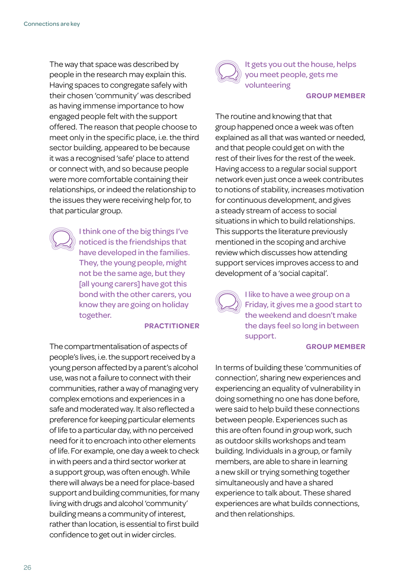The way that space was described by people in the research may explain this. Having spaces to congregate safely with their chosen 'community' was described as having immense importance to how engaged people felt with the support offered. The reason that people choose to meet only in the specific place, i.e. the third sector building, appeared to be because it was a recognised 'safe' place to attend or connect with, and so because people were more comfortable containing their relationships, or indeed the relationship to the issues they were receiving help for, to that particular group.

> I think one of the big things I've noticed is the friendships that have developed in the families. They, the young people, might not be the same age, but they [all young carers] have got this bond with the other carers, you know they are going on holiday together.

#### **PRACTITIONER**

The compartmentalisation of aspects of people's lives, i.e. the support received by a young person affected by a parent's alcohol use, was not a failure to connect with their communities, rather a way of managing very complex emotions and experiences in a safe and moderated way. It also reflected a preference for keeping particular elements of life to a particular day, with no perceived need for it to encroach into other elements of life. For example, one day a week to check in with peers and a third sector worker at a support group, was often enough. While there will always be a need for place-based support and building communities, for many living with drugs and alcohol 'community' building means a community of interest, rather than location, is essential to first build confidence to get out in wider circles.



It gets you out the house, helps you meet people, gets me volunteering

#### **GROUP MEMBER**

The routine and knowing that that group happened once a week was often explained as all that was wanted or needed, and that people could get on with the rest of their lives for the rest of the week. Having access to a regular social support network even just once a week contributes to notions of stability, increases motivation for continuous development, and gives a steady stream of access to social situations in which to build relationships. This supports the literature previously mentioned in the scoping and archive review which discusses how attending support services improves access to and development of a 'social capital'.

I like to have a wee group on a Friday, it gives me a good start to the weekend and doesn't make the days feel so long in between support.

#### **GROUP MEMBER**

In terms of building these 'communities of connection', sharing new experiences and experiencing an equality of vulnerability in doing something no one has done before, were said to help build these connections between people. Experiences such as this are often found in group work, such as outdoor skills workshops and team building. Individuals in a group, or family members, are able to share in learning a new skill or trying something together simultaneously and have a shared experience to talk about. These shared experiences are what builds connections, and then relationships.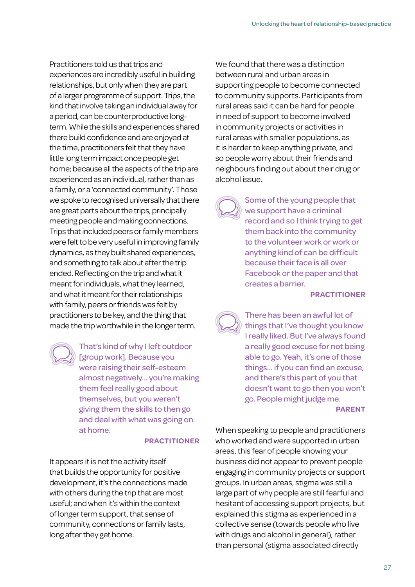Practitioners told us that trips and experiences are incredibly useful in building relationships, but only when they are part of a larger programme of support. Trips, the kind that involve taking an individual away for a period, can be counterproductive longterm. While the skills and experiences shared there build confidence and are enjoyed at the time, practitioners felt that they have little long term impact once people get home; because all the aspects of the trip are experienced as an individual, rather than as a family, or a 'connected community'. Those we spoke to recognised universally that there are great parts about the trips, principally meeting people and making connections. Trips that included peers or family members were felt to be very useful in improving family dynamics, as they built shared experiences, and something to talk about after the trip ended. Reflecting on the trip and what it meant for individuals, what they learned, and what it meant for their relationships with family, peers or friends was felt by practitioners to be key, and the thing that made the trip worthwhile in the longer term.

That's kind of why I left outdoor [group work]. Because you were raising their self-esteem almost negatively… you're making them feel really good about themselves, but you weren't giving them the skills to then go and deal with what was going on at home.

#### **PRACTITIONER**

It appears it is not the activity itself that builds the opportunity for positive development, it's the connections made with others during the trip that are most useful; and when it's within the context of longer term support, that sense of community, connections or family lasts, long after they get home.

We found that there was a distinction between rural and urban areas in supporting people to become connected to community supports. Participants from rural areas said it can be hard for people in need of support to become involved in community projects or activities in rural areas with smaller populations, as it is harder to keep anything private, and so people worry about their friends and neighbours finding out about their drug or alcohol issue.

> Some of the young people that we support have a criminal record and so I think trying to get them back into the community to the volunteer work or work or anything kind of can be difficult because their face is all over Facebook or the paper and that creates a barrier.

#### **PRACTITIONER**

There has been an awful lot of things that I've thought you know I really liked. But I've always found a really good excuse for not being able to go. Yeah, it's one of those things... if you can find an excuse, and there's this part of you that doesn't want to go then you won't go. People might judge me.

#### **PARENT**

When speaking to people and practitioners who worked and were supported in urban areas, this fear of people knowing your business did not appear to prevent people engaging in community projects or support groups. In urban areas, stigma was still a large part of why people are still fearful and hesitant of accessing support projects, but explained this stigma as experienced in a collective sense (towards people who live with drugs and alcohol in general), rather than personal (stigma associated directly